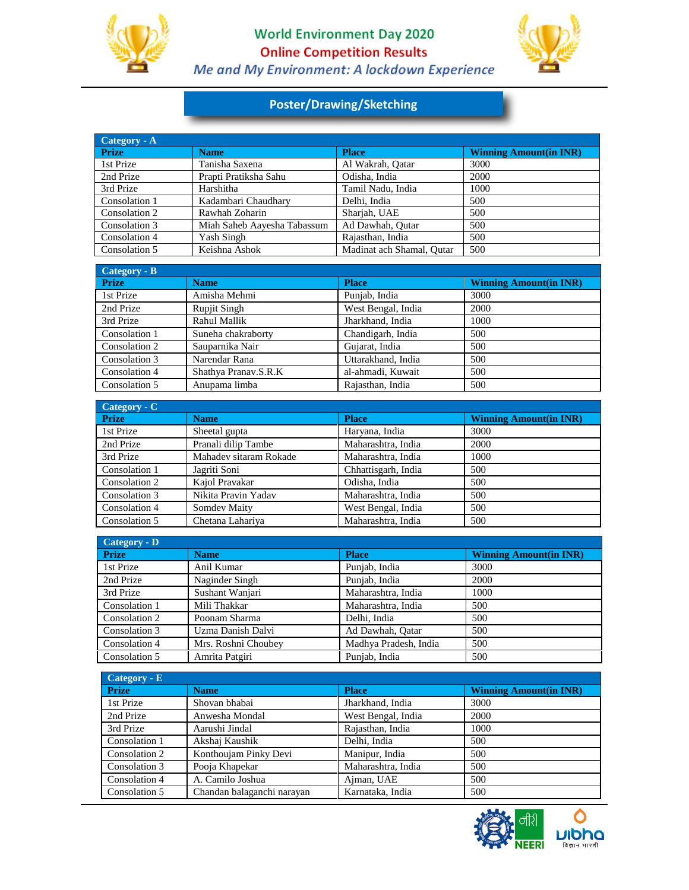

I

## **World Environment Day 2020 Online Competition Results** Me and My Environment: A lockdown Experience



## **Poster/Drawing/Sketching**

| Category - A  |                             |                           |                               |
|---------------|-----------------------------|---------------------------|-------------------------------|
| <b>Prize</b>  | <b>Name</b>                 | <b>Place</b>              | <b>Winning Amount(in INR)</b> |
| 1st Prize     | Tanisha Saxena              | Al Wakrah, Oatar          | 3000                          |
| 2nd Prize     | Prapti Pratiksha Sahu       | Odisha, India             | 2000                          |
| 3rd Prize     | Harshitha                   | Tamil Nadu, India         | 1000                          |
| Consolation 1 | Kadambari Chaudhary         | Delhi, India              | 500                           |
| Consolation 2 | Rawhah Zoharin              | Shariah. UAE              | 500                           |
| Consolation 3 | Miah Saheb Aayesha Tabassum | Ad Dawhah, Outar          | 500                           |
| Consolation 4 | Yash Singh                  | Raiasthan, India          | 500                           |
| Consolation 5 | Keishna Ashok               | Madinat ach Shamal, Outar | 500                           |

| Category - B  |                      |                    |                               |
|---------------|----------------------|--------------------|-------------------------------|
| <b>Prize</b>  | <b>Name</b>          | <b>Place</b>       | <b>Winning Amount(in INR)</b> |
| 1st Prize     | Amisha Mehmi         | Punjab, India      | 3000                          |
| 2nd Prize     | <b>Rupjit Singh</b>  | West Bengal, India | 2000                          |
| 3rd Prize     | Rahul Mallik         | Jharkhand, India   | 1000                          |
| Consolation 1 | Suneha chakraborty   | Chandigarh, India  | 500                           |
| Consolation 2 | Sauparnika Nair      | Gujarat, India     | 500                           |
| Consolation 3 | Narendar Rana        | Uttarakhand, India | 500                           |
| Consolation 4 | Shathya Pranav.S.R.K | al-ahmadi, Kuwait  | 500                           |
| Consolation 5 | Anupama limba        | Rajasthan, India   | 500                           |

| $Category - C$ |                        |                     |                               |  |
|----------------|------------------------|---------------------|-------------------------------|--|
| <b>Prize</b>   | <b>Name</b>            | <b>Place</b>        | <b>Winning Amount(in INR)</b> |  |
| 1st Prize      | Sheetal gupta          | Haryana, India      | 3000                          |  |
| 2nd Prize      | Pranali dilip Tambe    | Maharashtra, India  | 2000                          |  |
| 3rd Prize      | Mahadev sitaram Rokade | Maharashtra, India  | 1000                          |  |
| Consolation 1  | Jagriti Soni           | Chhattisgarh, India | 500                           |  |
| Consolation 2  | Kaiol Pravakar         | Odisha, India       | 500                           |  |
| Consolation 3  | Nikita Pravin Yadav    | Maharashtra, India  | 500                           |  |
| Consolation 4  | Somdev Maity           | West Bengal, India  | 500                           |  |
| Consolation 5  | Chetana Lahariva       | Maharashtra, India  | 500                           |  |

| Category - D  |                     |                       |                               |  |
|---------------|---------------------|-----------------------|-------------------------------|--|
| Prize         | <b>Name</b>         | <b>Place</b>          | <b>Winning Amount(in INR)</b> |  |
| 1st Prize     | Anil Kumar          | Punjab, India         | 3000                          |  |
| 2nd Prize     | Naginder Singh      | Punjab, India         | 2000                          |  |
| 3rd Prize     | Sushant Wanjari     | Maharashtra, India    | 1000                          |  |
| Consolation 1 | Mili Thakkar        | Maharashtra, India    | 500                           |  |
| Consolation 2 | Poonam Sharma       | Delhi, India          | 500                           |  |
| Consolation 3 | Uzma Danish Dalvi   | Ad Dawhah, Oatar      | 500                           |  |
| Consolation 4 | Mrs. Roshni Choubev | Madhya Pradesh, India | 500                           |  |
| Consolation 5 | Amrita Patgiri      | Punjab, India         | 500                           |  |

| $Category - E$ |                            |                    |                               |  |
|----------------|----------------------------|--------------------|-------------------------------|--|
| <b>Prize</b>   | <b>Name</b>                | <b>Place</b>       | <b>Winning Amount(in INR)</b> |  |
| 1st Prize      | Shovan bhabai              | Jharkhand, India   | 3000                          |  |
| 2nd Prize      | Anwesha Mondal             | West Bengal, India | 2000                          |  |
| 3rd Prize      | Aarushi Jindal             | Rajasthan, India   | 1000                          |  |
| Consolation 1  | Akshaj Kaushik             | Delhi, India       | 500                           |  |
| Consolation 2  | Konthoujam Pinky Devi      | Manipur, India     | 500                           |  |
| Consolation 3  | Pooja Khapekar             | Maharashtra, India | 500                           |  |
| Consolation 4  | A. Camilo Joshua           | Ajman, UAE         | 500                           |  |
| Consolation 5  | Chandan balaganchi narayan | Karnataka, India   | 500                           |  |

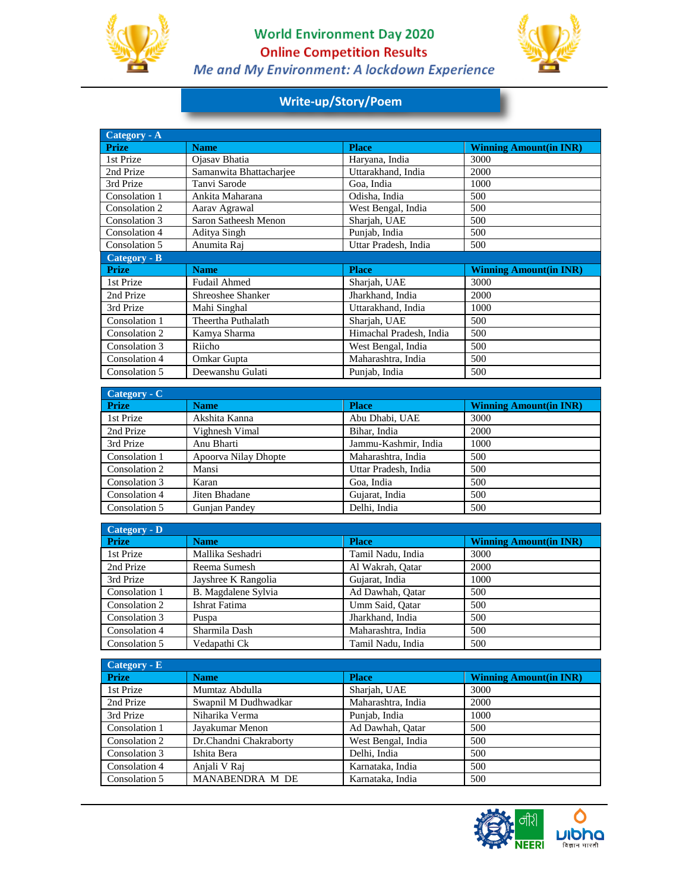

I

## **World Environment Day 2020 Online Competition Results** Me and My Environment: A lockdown Experience



# **Write-up/Story/Poem**

| Category - A  |                         |                         |                               |
|---------------|-------------------------|-------------------------|-------------------------------|
| <b>Prize</b>  | <b>Name</b>             | <b>Place</b>            | <b>Winning Amount(in INR)</b> |
| 1st Prize     | Ojasav Bhatia           | Haryana, India          | 3000                          |
| 2nd Prize     | Samanwita Bhattacharjee | Uttarakhand, India      | 2000                          |
| 3rd Prize     | Tanvi Sarode            | Goa, India              | 1000                          |
| Consolation 1 | Ankita Maharana         | Odisha, India           | 500                           |
| Consolation 2 | Aarav Agrawal           | West Bengal, India      | 500                           |
| Consolation 3 | Saron Satheesh Menon    | Sharjah, UAE            | 500                           |
| Consolation 4 | Aditya Singh            | Punjab, India           | 500                           |
| Consolation 5 | Anumita Raj             | Uttar Pradesh, India    | 500                           |
| Category - B  |                         |                         |                               |
| <b>Prize</b>  | <b>Name</b>             | <b>Place</b>            | <b>Winning Amount(in INR)</b> |
| 1st Prize     | <b>Fudail Ahmed</b>     | Sharjah, UAE            | 3000                          |
| 2nd Prize     | Shreoshee Shanker       | Jharkhand, India        | 2000                          |
| 3rd Prize     | Mahi Singhal            | Uttarakhand, India      | 1000                          |
| Consolation 1 | Theertha Puthalath      | Sharjah, UAE            | 500                           |
| Consolation 2 | Kamya Sharma            | Himachal Pradesh, India | 500                           |
| Consolation 3 | Riicho                  | West Bengal, India      | 500                           |
| Consolation 4 | Omkar Gupta             | Maharashtra, India      | 500                           |
| Consolation 5 | Deewanshu Gulati        | Punjab, India           | 500                           |

| Category - C  |                      |                      |                               |
|---------------|----------------------|----------------------|-------------------------------|
| <b>Prize</b>  | <b>Name</b>          | <b>Place</b>         | <b>Winning Amount(in INR)</b> |
| 1st Prize     | Akshita Kanna        | Abu Dhabi, UAE       | 3000                          |
| 2nd Prize     | Vighnesh Vimal       | Bihar, India         | 2000                          |
| 3rd Prize     | Anu Bharti           | Jammu-Kashmir, India | 1000                          |
| Consolation 1 | Apoorva Nilay Dhopte | Maharashtra, India   | 500                           |
| Consolation 2 | Mansi                | Uttar Pradesh, India | 500                           |
| Consolation 3 | Karan                | Goa, India           | 500                           |
| Consolation 4 | Jiten Bhadane        | Gujarat, India       | 500                           |
| Consolation 5 | Gunjan Pandey        | Delhi, India         | 500                           |

| Category - D  |                     |                    |                               |
|---------------|---------------------|--------------------|-------------------------------|
| <b>Prize</b>  | <b>Name</b>         | <b>Place</b>       | <b>Winning Amount(in INR)</b> |
| 1st Prize     | Mallika Seshadri    | Tamil Nadu, India  | 3000                          |
| 2nd Prize     | Reema Sumesh        | Al Wakrah, Oatar   | 2000                          |
| 3rd Prize     | Jayshree K Rangolia | Gujarat, India     | 1000                          |
| Consolation 1 | B. Magdalene Sylvia | Ad Dawhah, Oatar   | 500                           |
| Consolation 2 | Ishrat Fatima       | Umm Said, Oatar    | 500                           |
| Consolation 3 | Puspa               | Jharkhand, India   | 500                           |
| Consolation 4 | Sharmila Dash       | Maharashtra, India | 500                           |
| Consolation 5 | Vedapathi Ck        | Tamil Nadu, India  | 500                           |

| $Category - E$ |                        |                    |                               |
|----------------|------------------------|--------------------|-------------------------------|
| <b>Prize</b>   | Name                   | <b>Place</b>       | <b>Winning Amount(in INR)</b> |
| 1st Prize      | Mumtaz Abdulla         | Sharjah, UAE       | 3000                          |
| 2nd Prize      | Swapnil M Dudhwadkar   | Maharashtra, India | 2000                          |
| 3rd Prize      | Niharika Verma         | Punjab, India      | 1000                          |
| Consolation 1  | Javakumar Menon        | Ad Dawhah, Oatar   | 500                           |
| Consolation 2  | Dr.Chandni Chakraborty | West Bengal, India | 500                           |
| Consolation 3  | Ishita Bera            | Delhi, India       | 500                           |
| Consolation 4  | Anjali V Raj           | Karnataka, India   | 500                           |
| Consolation 5  | MANABENDRA M DE        | Karnataka, India   | 500                           |

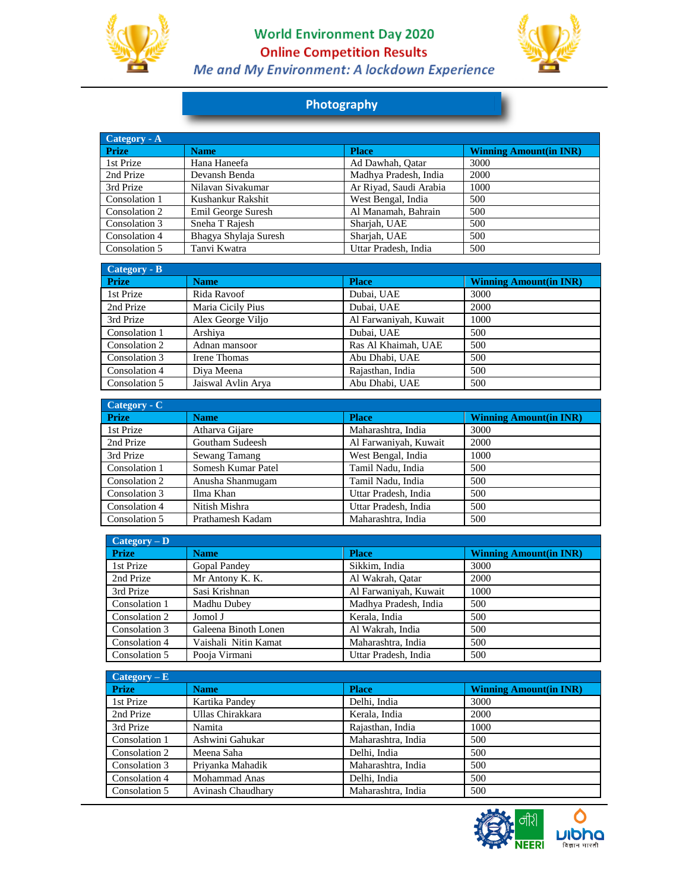

I

## **World Environment Day 2020 Online Competition Results** Me and My Environment: A lockdown Experience



## **Photography**

| Category - A  |                       |                        |                               |
|---------------|-----------------------|------------------------|-------------------------------|
| <b>Prize</b>  | <b>Name</b>           | <b>Place</b>           | <b>Winning Amount(in INR)</b> |
| 1st Prize     | Hana Haneefa          | Ad Dawhah, Oatar       | 3000                          |
| 2nd Prize     | Devansh Benda         | Madhya Pradesh, India  | 2000                          |
| 3rd Prize     | Nilavan Sivakumar     | Ar Riyad, Saudi Arabia | 1000                          |
| Consolation 1 | Kushankur Rakshit     | West Bengal, India     | 500                           |
| Consolation 2 | Emil George Suresh    | Al Manamah, Bahrain    | 500                           |
| Consolation 3 | Sneha T Rajesh        | Sharjah, UAE           | 500                           |
| Consolation 4 | Bhagya Shylaja Suresh | Sharjah, UAE           | 500                           |
| Consolation 5 | Tanvi Kwatra          | Uttar Pradesh, India   | 500                           |

| Category - B  |                    |                       |                               |
|---------------|--------------------|-----------------------|-------------------------------|
| <b>Prize</b>  | <b>Name</b>        | <b>Place</b>          | <b>Winning Amount(in INR)</b> |
| 1st Prize     | Rida Ravoof        | Dubai, UAE            | 3000                          |
| 2nd Prize     | Maria Cicily Pius  | Dubai, UAE            | 2000                          |
| 3rd Prize     | Alex George Viljo  | Al Farwaniyah, Kuwait | 1000                          |
| Consolation 1 | Arshiya            | Dubai, UAE            | 500                           |
| Consolation 2 | Adnan mansoor      | Ras Al Khaimah, UAE   | 500                           |
| Consolation 3 | Irene Thomas       | Abu Dhabi, UAE        | 500                           |
| Consolation 4 | Diva Meena         | Rajasthan, India      | 500                           |
| Consolation 5 | Jaiswal Avlin Arya | Abu Dhabi, UAE        | 500                           |

| Category - C  |                    |                       |                               |
|---------------|--------------------|-----------------------|-------------------------------|
| <b>Prize</b>  | <b>Name</b>        | <b>Place</b>          | <b>Winning Amount(in INR)</b> |
| 1st Prize     | Atharva Gijare     | Maharashtra, India    | 3000                          |
| 2nd Prize     | Goutham Sudeesh    | Al Farwaniyah, Kuwait | 2000                          |
| 3rd Prize     | Sewang Tamang      | West Bengal, India    | 1000                          |
| Consolation 1 | Somesh Kumar Patel | Tamil Nadu, India     | 500                           |
| Consolation 2 | Anusha Shanmugam   | Tamil Nadu, India     | 500                           |
| Consolation 3 | Ilma Khan          | Uttar Pradesh, India  | 500                           |
| Consolation 4 | Nitish Mishra      | Uttar Pradesh, India  | 500                           |
| Consolation 5 | Prathamesh Kadam   | Maharashtra, India    | 500                           |

| $\text{Category} - \text{D}$ |                      |                       |                               |
|------------------------------|----------------------|-----------------------|-------------------------------|
| <b>Prize</b>                 | <b>Name</b>          | <b>Place</b>          | <b>Winning Amount(in INR)</b> |
| 1st Prize                    | Gopal Pandey         | Sikkim, India         | 3000                          |
| 2nd Prize                    | Mr Antony K. K.      | Al Wakrah, Oatar      | 2000                          |
| 3rd Prize                    | Sasi Krishnan        | Al Farwaniyah, Kuwait | 1000                          |
| Consolation 1                | Madhu Dubey          | Madhya Pradesh, India | 500                           |
| Consolation 2                | Jomol J              | Kerala, India         | 500                           |
| Consolation 3                | Galeena Binoth Lonen | Al Wakrah, India      | 500                           |
| Consolation 4                | Vaishali Nitin Kamat | Maharashtra, India    | 500                           |
| Consolation 5                | Pooia Virmani        | Uttar Pradesh, India  | 500                           |

| $Category - E$ |                   |                    |                               |
|----------------|-------------------|--------------------|-------------------------------|
| <b>Prize</b>   | <b>Name</b>       | <b>Place</b>       | <b>Winning Amount(in INR)</b> |
| 1st Prize      | Kartika Pandey    | Delhi, India       | 3000                          |
| 2nd Prize      | Ullas Chirakkara  | Kerala, India      | 2000                          |
| 3rd Prize      | Namita            | Rajasthan, India   | 1000                          |
| Consolation 1  | Ashwini Gahukar   | Maharashtra, India | 500                           |
| Consolation 2  | Meena Saha        | Delhi, India       | 500                           |
| Consolation 3  | Priyanka Mahadik  | Maharashtra, India | 500                           |
| Consolation 4  | Mohammad Anas     | Delhi, India       | 500                           |
| Consolation 5  | Avinash Chaudhary | Maharashtra, India | 500                           |

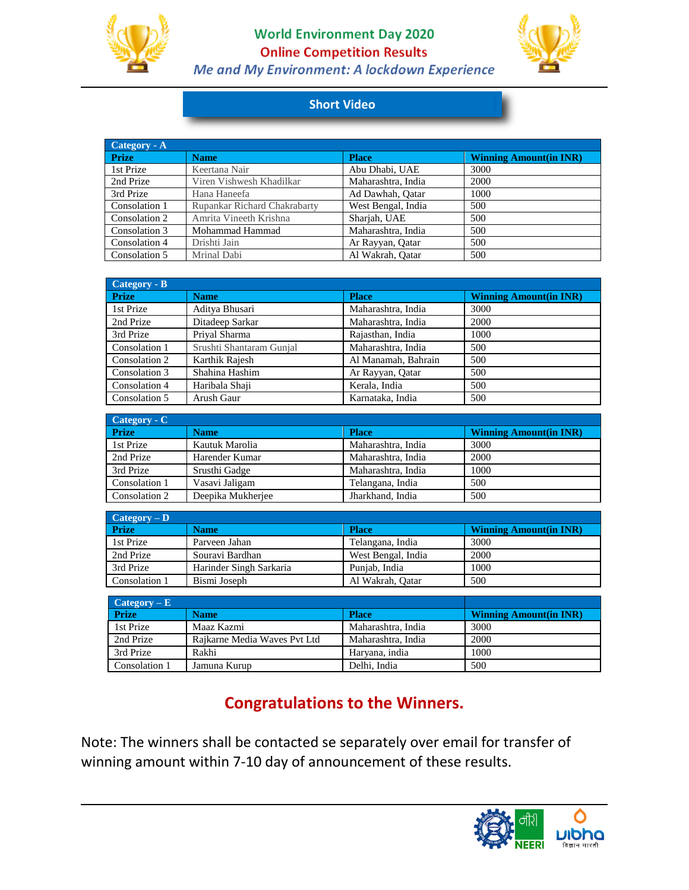

**World Environment Day 2020 Online Competition Results** Me and My Environment: A lockdown Experience



## **Short Video**

| Category - A  |                              |                    |                               |
|---------------|------------------------------|--------------------|-------------------------------|
| <b>Prize</b>  | <b>Name</b>                  | <b>Place</b>       | <b>Winning Amount(in INR)</b> |
| 1st Prize     | Keertana Nair                | Abu Dhabi, UAE     | 3000                          |
| 2nd Prize     | Viren Vishwesh Khadilkar     | Maharashtra, India | 2000                          |
| 3rd Prize     | Hana Haneefa                 | Ad Dawhah, Oatar   | 1000                          |
| Consolation 1 | Rupankar Richard Chakrabarty | West Bengal, India | 500                           |
| Consolation 2 | Amrita Vineeth Krishna       | Sharjah, UAE       | 500                           |
| Consolation 3 | Mohammad Hammad              | Maharashtra, India | 500                           |
| Consolation 4 | Drishti Jain                 | Ar Rayyan, Oatar   | 500                           |
| Consolation 5 | Mrinal Dabi                  | Al Wakrah, Oatar   | 500                           |

| Category - B  |                          |                     |                               |
|---------------|--------------------------|---------------------|-------------------------------|
| <b>Prize</b>  | <b>Name</b>              | <b>Place</b>        | <b>Winning Amount(in INR)</b> |
| 1st Prize     | Aditya Bhusari           | Maharashtra, India  | 3000                          |
| 2nd Prize     | Ditadeep Sarkar          | Maharashtra, India  | 2000                          |
| 3rd Prize     | Prival Sharma            | Rajasthan, India    | 1000                          |
| Consolation 1 | Srushti Shantaram Gunjal | Maharashtra, India  | 500                           |
| Consolation 2 | Karthik Rajesh           | Al Manamah, Bahrain | 500                           |
| Consolation 3 | Shahina Hashim           | Ar Rayyan, Qatar    | 500                           |
| Consolation 4 | Haribala Shaji           | Kerala, India       | 500                           |
| Consolation 5 | Arush Gaur               | Karnataka, India    | 500                           |

| $\text{Category} \cdot \text{C}$ |                   |                    |                               |
|----------------------------------|-------------------|--------------------|-------------------------------|
| <b>Prize</b>                     | <b>Name</b>       | <b>Place</b>       | <b>Winning Amount(in INR)</b> |
| 1st Prize                        | Kautuk Marolia    | Maharashtra, India | 3000                          |
| 2nd Prize                        | Harender Kumar    | Maharashtra, India | 2000                          |
| 3rd Prize                        | Srusthi Gadge     | Maharashtra, India | 1000                          |
| Consolation 1                    | Vasavi Jaligam    | Telangana, India   | 500                           |
| Consolation 2                    | Deepika Mukherjee | Jharkhand, India   | 500                           |

| $\text{Category} - \text{D}$ |                         |                    |                               |
|------------------------------|-------------------------|--------------------|-------------------------------|
| <b>Prize</b>                 | <b>Name</b>             | <b>Place</b>       | <b>Winning Amount(in INR)</b> |
| 1st Prize                    | Parveen Jahan           | Telangana, India   | 3000                          |
| 2nd Prize                    | Souravi Bardhan         | West Bengal, India | 2000                          |
| 3rd Prize                    | Harinder Singh Sarkaria | Punjab, India      | 1000                          |
| Consolation 1                | Bismi Joseph            | Al Wakrah, Qatar   | 500                           |

| $\text{Category} - \text{E}$ |                              |                    |                               |
|------------------------------|------------------------------|--------------------|-------------------------------|
| <b>Prize</b>                 | <b>Name</b>                  | <b>Place</b>       | <b>Winning Amount(in INR)</b> |
| 1st Prize                    | Maaz Kazmi                   | Maharashtra, India | 3000                          |
| 2nd Prize                    | Raikarne Media Waves Pvt Ltd | Maharashtra, India | 2000                          |
| 3rd Prize                    | Rakhi                        | Haryana, india     | 1000                          |
| Consolation 1                | Jamuna Kurup                 | Delhi, India       | 500                           |

# **Congratulations to the Winners.**

Note: The winners shall be contacted se separately over email for transfer of winning amount within 7-10 day of announcement of these results.